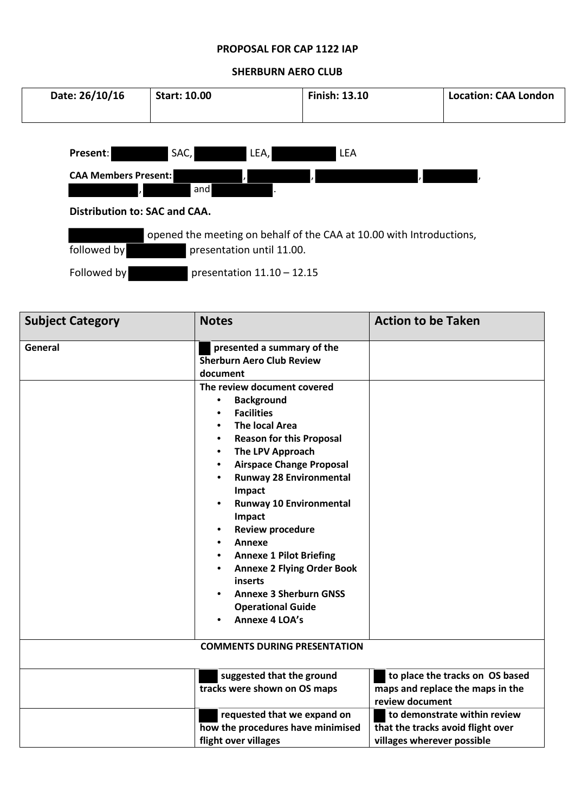## **PROPOSAL FOR CAP 1122 IAP**

## **SHERBURN AERO CLUB**

| Date: 26/10/16                      | <b>Start: 10.00</b>                                                                               | <b>Finish: 13.10</b> | <b>Location: CAA London</b> |  |
|-------------------------------------|---------------------------------------------------------------------------------------------------|----------------------|-----------------------------|--|
| Present:                            | LEA,                                                                                              | <b>LEA</b>           |                             |  |
| SAC,<br><b>CAA Members Present:</b> |                                                                                                   |                      |                             |  |
|                                     | and                                                                                               |                      |                             |  |
| Distribution to: SAC and CAA.       |                                                                                                   |                      |                             |  |
| followed by                         | opened the meeting on behalf of the CAA at 10.00 with Introductions,<br>presentation until 11.00. |                      |                             |  |
| Followed by                         | presentation $11.10 - 12.15$                                                                      |                      |                             |  |

| <b>Subject Category</b> | <b>Notes</b>                                                                                                                                                                                                                                                                                                                                                                                                                                                                                                                                                   | <b>Action to be Taken</b>                                                                       |
|-------------------------|----------------------------------------------------------------------------------------------------------------------------------------------------------------------------------------------------------------------------------------------------------------------------------------------------------------------------------------------------------------------------------------------------------------------------------------------------------------------------------------------------------------------------------------------------------------|-------------------------------------------------------------------------------------------------|
| General                 | presented a summary of the<br><b>Sherburn Aero Club Review</b><br>document                                                                                                                                                                                                                                                                                                                                                                                                                                                                                     |                                                                                                 |
|                         | The review document covered<br><b>Background</b><br>$\bullet$<br><b>Facilities</b><br><b>The local Area</b><br><b>Reason for this Proposal</b><br>The LPV Approach<br>$\bullet$<br><b>Airspace Change Proposal</b><br>$\bullet$<br><b>Runway 28 Environmental</b><br>Impact<br><b>Runway 10 Environmental</b><br>$\bullet$<br>Impact<br><b>Review procedure</b><br>Annexe<br><b>Annexe 1 Pilot Briefing</b><br><b>Annexe 2 Flying Order Book</b><br>inserts<br><b>Annexe 3 Sherburn GNSS</b><br><b>Operational Guide</b><br><b>Annexe 4 LOA's</b><br>$\bullet$ |                                                                                                 |
|                         | <b>COMMENTS DURING PRESENTATION</b>                                                                                                                                                                                                                                                                                                                                                                                                                                                                                                                            |                                                                                                 |
|                         | suggested that the ground<br>tracks were shown on OS maps                                                                                                                                                                                                                                                                                                                                                                                                                                                                                                      | to place the tracks on OS based<br>maps and replace the maps in the<br>review document          |
|                         | requested that we expand on<br>how the procedures have minimised<br>flight over villages                                                                                                                                                                                                                                                                                                                                                                                                                                                                       | to demonstrate within review<br>that the tracks avoid flight over<br>villages wherever possible |